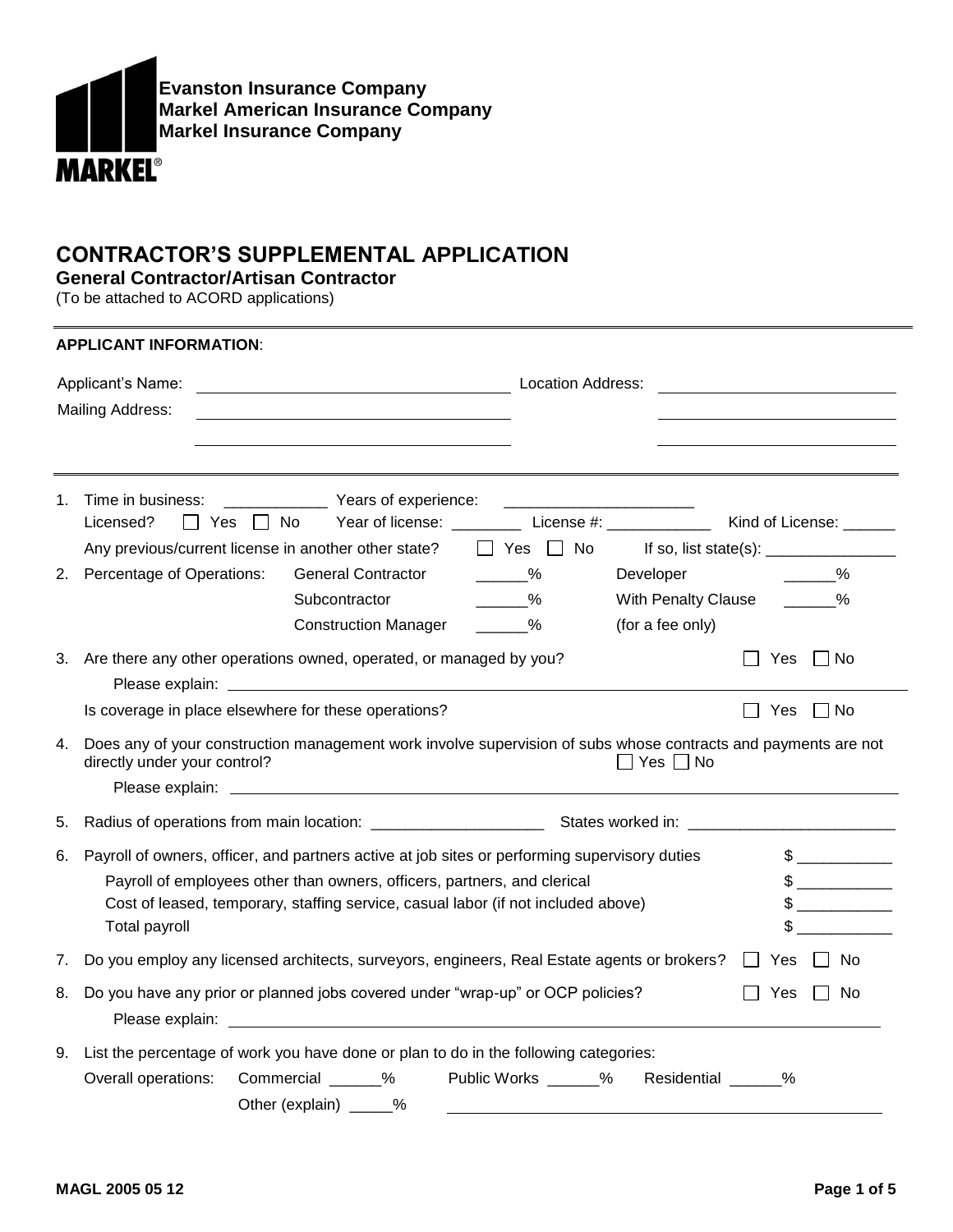

## **CONTRACTOR'S SUPPLEMENTAL APPLICATION**

**General Contractor/Artisan Contractor**

(To be attached to ACORD applications)

|    | <b>APPLICANT INFORMATION:</b>                                                                                                                                                                                                                                                                              |  |  |  |  |  |  |
|----|------------------------------------------------------------------------------------------------------------------------------------------------------------------------------------------------------------------------------------------------------------------------------------------------------------|--|--|--|--|--|--|
|    | Applicant's Name:<br>Location Address:<br><b>Mailing Address:</b>                                                                                                                                                                                                                                          |  |  |  |  |  |  |
| 1. | Licensed?<br>$\Box$ Yes $\Box$ No<br>Any previous/current license in another other state?<br>$\Box$ Yes $\Box$ No                                                                                                                                                                                          |  |  |  |  |  |  |
| 2. | Percentage of Operations:<br>$\sim$ %<br><b>General Contractor</b><br>$\frac{9}{6}$<br>Developer<br>$\frac{9}{6}$<br>With Penalty Clause ______%<br>Subcontractor<br>$\%$<br>(for a fee only)<br><b>Construction Manager</b>                                                                               |  |  |  |  |  |  |
|    | 3. Are there any other operations owned, operated, or managed by you?<br>Yes IINo<br>Yes<br>$\Box$ No<br>Is coverage in place elsewhere for these operations?                                                                                                                                              |  |  |  |  |  |  |
| 4. | Does any of your construction management work involve supervision of subs whose contracts and payments are not<br>directly under your control?<br>$\Box$ Yes $\Box$ No                                                                                                                                     |  |  |  |  |  |  |
| 5. |                                                                                                                                                                                                                                                                                                            |  |  |  |  |  |  |
| 6. | $\sim$<br>Payroll of owners, officer, and partners active at job sites or performing supervisory duties<br>Payroll of employees other than owners, officers, partners, and clerical<br>$\frac{1}{2}$<br>Cost of leased, temporary, staffing service, casual labor (if not included above)<br>Total payroll |  |  |  |  |  |  |
| 7. | Do you employ any licensed architects, surveyors, engineers, Real Estate agents or brokers? □ Yes<br>$\Box$ No                                                                                                                                                                                             |  |  |  |  |  |  |
| 8. | Do you have any prior or planned jobs covered under "wrap-up" or OCP policies?<br>Yes<br>l I No                                                                                                                                                                                                            |  |  |  |  |  |  |
| 9. | List the percentage of work you have done or plan to do in the following categories:<br>Commercial ______%<br>Overall operations:<br>Public Works % Residential %<br>Other (explain) _____%                                                                                                                |  |  |  |  |  |  |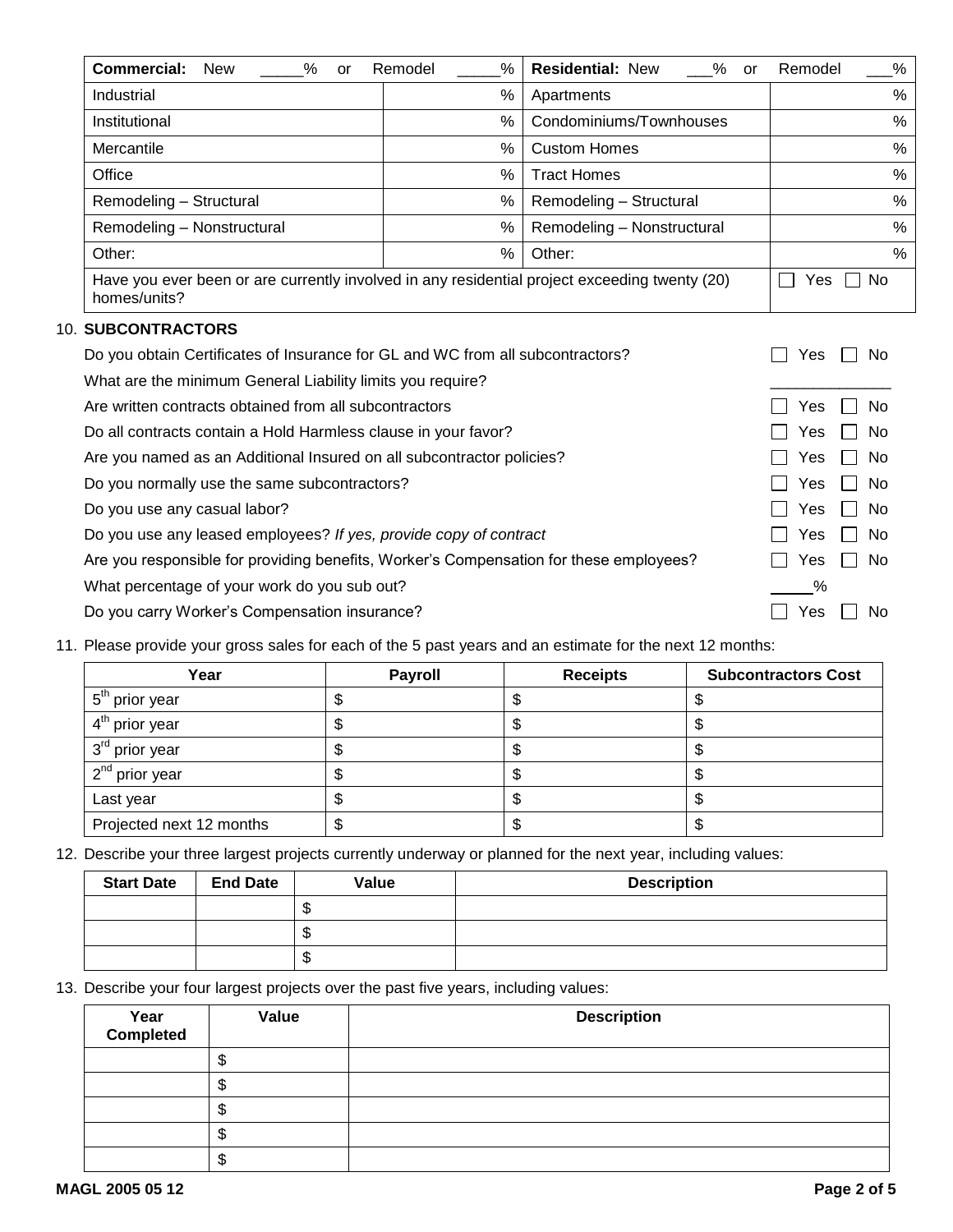| Commercial:<br><b>New</b><br>%<br>or                                                                          | %<br>Remodel | <b>Residential: New</b><br>$\%$<br>or | %<br>Remodel |
|---------------------------------------------------------------------------------------------------------------|--------------|---------------------------------------|--------------|
| Industrial                                                                                                    | %            | Apartments                            | %            |
| Institutional                                                                                                 | %            | Condominiums/Townhouses               | %            |
| Mercantile                                                                                                    | $\%$         | <b>Custom Homes</b>                   | %            |
| Office                                                                                                        | %            | <b>Tract Homes</b>                    | $\%$         |
| Remodeling - Structural                                                                                       | ℅            | Remodeling - Structural               | %            |
| Remodeling - Nonstructural                                                                                    | %            | Remodeling - Nonstructural            | %            |
| Other:                                                                                                        | %            | Other:                                | %            |
| Have you ever been or are currently involved in any residential project exceeding twenty (20)<br>homes/units? | No<br>Yes    |                                       |              |

## 10. **SUBCONTRACTORS**

| Do you obtain Certificates of Insurance for GL and WC from all subcontractors?         | No.<br>Yes                 |
|----------------------------------------------------------------------------------------|----------------------------|
| What are the minimum General Liability limits you require?                             |                            |
| Are written contracts obtained from all subcontractors                                 | Yes<br>No.                 |
| Do all contracts contain a Hold Harmless clause in your favor?                         | Yes<br>No.<br>l a          |
| Are you named as an Additional Insured on all subcontractor policies?                  | Yes<br>No.<br>$\mathbf{L}$ |
| Do you normally use the same subcontractors?                                           | Yes<br>No.<br>$\mathbf{I}$ |
| Do you use any casual labor?                                                           | Yes<br>No.<br>l.           |
| Do you use any leased employees? If yes, provide copy of contract                      | Yes<br>No.                 |
| Are you responsible for providing benefits, Worker's Compensation for these employees? | Yes<br>No.                 |
| What percentage of your work do you sub out?                                           | ℅                          |
| Do you carry Worker's Compensation insurance?                                          | Yes<br>No.                 |

11. Please provide your gross sales for each of the 5 past years and an estimate for the next 12 months:

| Year                       | <b>Payroll</b> | <b>Receipts</b> | <b>Subcontractors Cost</b> |
|----------------------------|----------------|-----------------|----------------------------|
| $1.5th$ prior year         |                |                 | w                          |
| 4 <sup>th</sup> prior year |                |                 |                            |
| 3 <sup>rd</sup> prior year |                |                 |                            |
| 2 <sup>nd</sup> prior year |                |                 |                            |
| Last year                  | Φ              | ۰D              |                            |
| Projected next 12 months   | Φ              | Φ               | ۰U                         |

12. Describe your three largest projects currently underway or planned for the next year, including values:

| <b>Start Date</b> | <b>End Date</b> | Value   | <b>Description</b> |
|-------------------|-----------------|---------|--------------------|
|                   |                 | Œ<br>۰D |                    |
|                   |                 | Œ<br>Ф  |                    |
|                   |                 | Œ<br>Ф  |                    |

13. Describe your four largest projects over the past five years, including values:

| Year<br>Completed | Value | <b>Description</b> |
|-------------------|-------|--------------------|
|                   |       |                    |
|                   |       |                    |
|                   | ۰D    |                    |
|                   |       |                    |
|                   |       |                    |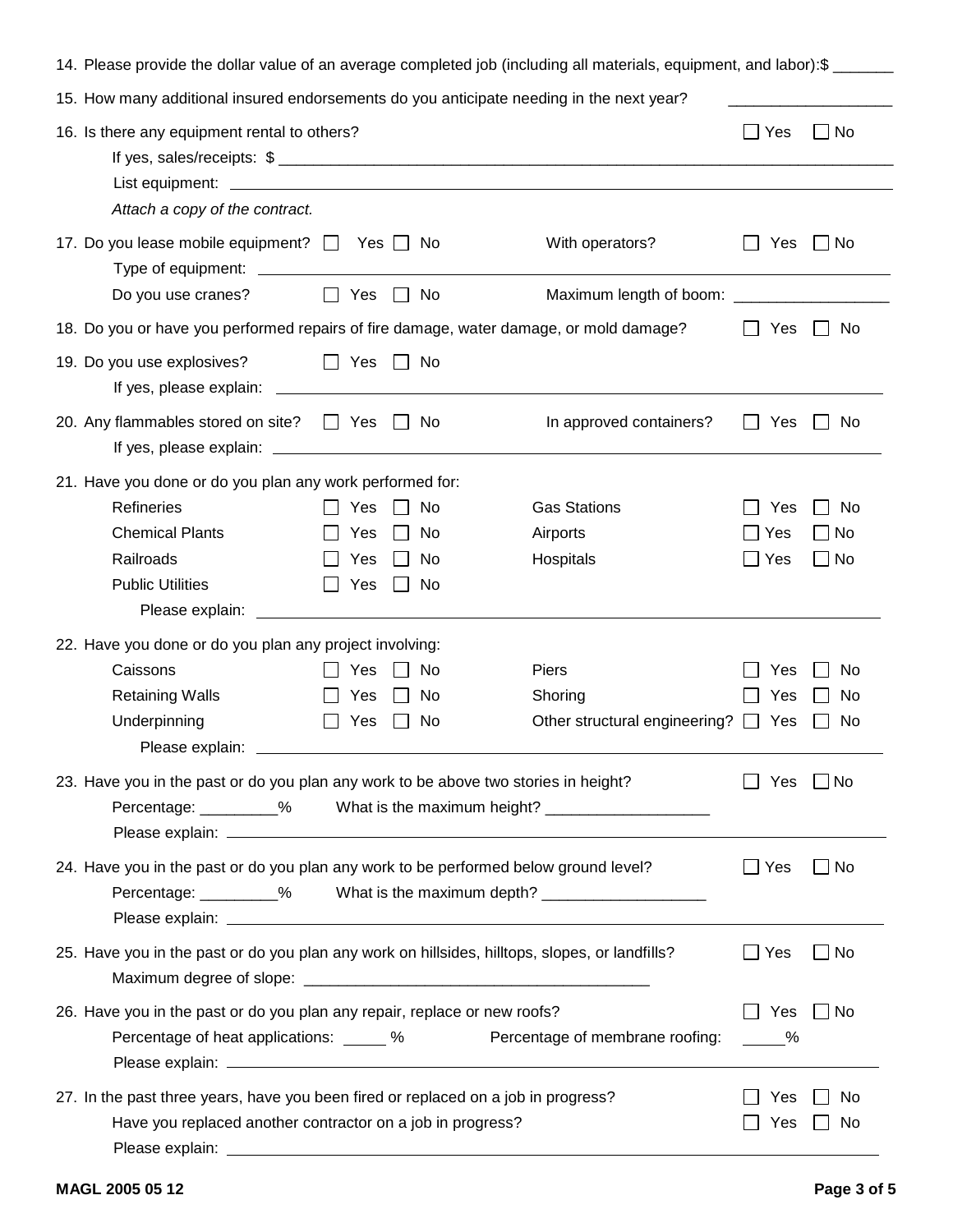| 14. Please provide the dollar value of an average completed job (including all materials, equipment, and labor):\$                               |                          |                      |                                                                                  |                      |                  |  |
|--------------------------------------------------------------------------------------------------------------------------------------------------|--------------------------|----------------------|----------------------------------------------------------------------------------|----------------------|------------------|--|
| 15. How many additional insured endorsements do you anticipate needing in the next year?                                                         |                          |                      |                                                                                  |                      |                  |  |
| 16. Is there any equipment rental to others?<br>Attach a copy of the contract.                                                                   |                          |                      |                                                                                  | Yes                  | No               |  |
| 17. Do you lease mobile equipment? The Yes Theory                                                                                                |                          |                      | With operators?                                                                  | Yes                  | l No             |  |
| Do you use cranes?                                                                                                                               | Yes<br>$\perp$           | No                   | Maximum length of boom: ________________________                                 |                      |                  |  |
| 18. Do you or have you performed repairs of fire damage, water damage, or mold damage?                                                           |                          |                      |                                                                                  | Yes                  | No               |  |
| 19. Do you use explosives?<br>If yes, please explain:                                                                                            | $\Box$ Yes               | No<br>$\Box$         |                                                                                  |                      |                  |  |
| 20. Any flammables stored on site? □ Yes □ No                                                                                                    |                          |                      | In approved containers?                                                          | Yes                  | No.              |  |
| 21. Have you done or do you plan any work performed for:<br>Refineries<br><b>Chemical Plants</b><br>Railroads<br><b>Public Utilities</b>         | Yes<br>Yes<br>Yes<br>Yes | No<br>No<br>No<br>No | <b>Gas Stations</b><br>Airports<br>Hospitals                                     | Yes<br>Yes<br>Yes    | No<br>No<br>  No |  |
| 22. Have you done or do you plan any project involving:<br>Caissons<br><b>Retaining Walls</b><br>Underpinning<br>Please explain:                 | Yes<br>Yes<br>Yes        | No<br>No.<br>No      | Piers<br>Shoring<br>Other structural engineering? $\Box$                         | Yes<br>Yes<br>Yes    | No<br>No<br>No   |  |
| 23. Have you in the past or do you plan any work to be above two stories in height?                                                              |                          |                      | Percentage: _________% What is the maximum height? _____________________________ | Yes                  | – I No           |  |
| 24. Have you in the past or do you plan any work to be performed below ground level?                                                             |                          |                      | Percentage: _________% What is the maximum depth? ______________________________ | $\Box$ Yes           | _l No            |  |
| 25. Have you in the past or do you plan any work on hillsides, hilltops, slopes, or landfills?                                                   |                          |                      |                                                                                  | Yes                  | No               |  |
| 26. Have you in the past or do you plan any repair, replace or new roofs?<br>Percentage of heat applications: _____ %                            |                          |                      | Percentage of membrane roofing:                                                  | Yes<br>$\frac{9}{6}$ | $\Box$ No        |  |
| 27. In the past three years, have you been fired or replaced on a job in progress?<br>Have you replaced another contractor on a job in progress? |                          |                      |                                                                                  |                      | No.<br>No        |  |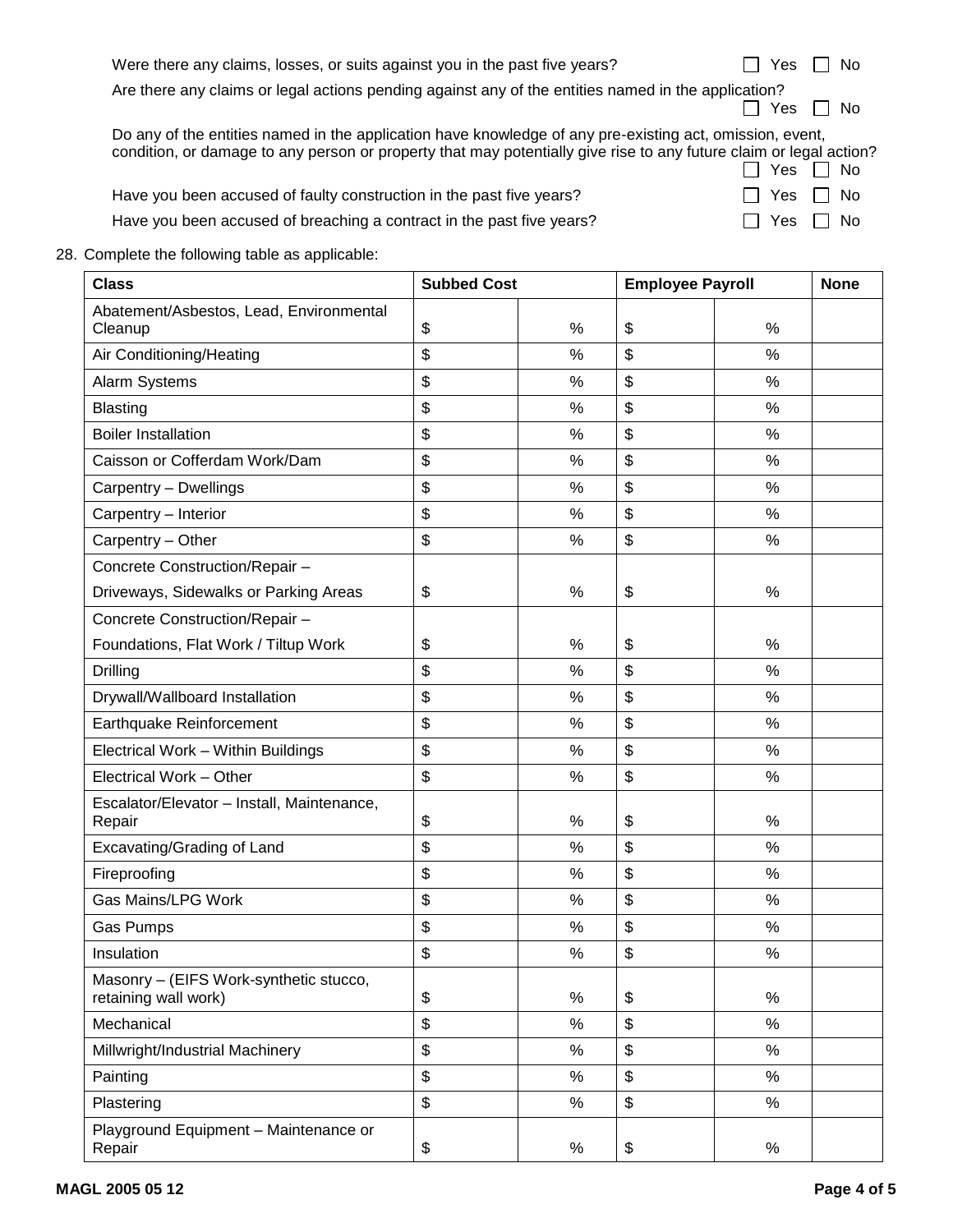| Were there any claims, losses, or suits against you in the past five years?                                                                                                                                                    | No<br>Yes     |
|--------------------------------------------------------------------------------------------------------------------------------------------------------------------------------------------------------------------------------|---------------|
| Are there any claims or legal actions pending against any of the entities named in the application?                                                                                                                            | Yes $\Box$ No |
| Do any of the entities named in the application have knowledge of any pre-existing act, omission, event,<br>condition, or damage to any person or property that may potentially give rise to any future claim or legal action? | Yes II No     |
| Have you been accused of faulty construction in the past five years?                                                                                                                                                           | - No<br>Yes   |
| Have you been accused of breaching a contract in the past five years?                                                                                                                                                          | No<br>Yes     |
|                                                                                                                                                                                                                                |               |

28. Complete the following table as applicable:

| <b>Class</b>                                                   | <b>Subbed Cost</b>        |      | <b>Employee Payroll</b> |      | <b>None</b> |
|----------------------------------------------------------------|---------------------------|------|-------------------------|------|-------------|
| Abatement/Asbestos, Lead, Environmental<br>Cleanup             | \$                        | $\%$ | \$                      | $\%$ |             |
| Air Conditioning/Heating                                       | \$                        | %    | \$                      | %    |             |
| Alarm Systems                                                  | \$                        | %    | \$                      | $\%$ |             |
| <b>Blasting</b>                                                | \$                        | %    | \$                      | $\%$ |             |
| <b>Boiler Installation</b>                                     | \$                        | %    | \$                      | %    |             |
| Caisson or Cofferdam Work/Dam                                  | \$                        | %    | \$                      | %    |             |
| Carpentry - Dwellings                                          | \$                        | $\%$ | \$                      | %    |             |
| Carpentry - Interior                                           | \$                        | %    | \$                      | %    |             |
| Carpentry - Other                                              | \$                        | $\%$ | \$                      | $\%$ |             |
| Concrete Construction/Repair -                                 |                           |      |                         |      |             |
| Driveways, Sidewalks or Parking Areas                          | \$                        | $\%$ | \$                      | $\%$ |             |
| Concrete Construction/Repair -                                 |                           |      |                         |      |             |
| Foundations, Flat Work / Tiltup Work                           | \$                        | %    | \$                      | %    |             |
| Drilling                                                       | \$                        | $\%$ | \$                      | $\%$ |             |
| Drywall/Wallboard Installation                                 | \$                        | $\%$ | \$                      | $\%$ |             |
| Earthquake Reinforcement                                       | \$                        | %    | \$                      | %    |             |
| Electrical Work - Within Buildings                             | \$                        | %    | \$                      | $\%$ |             |
| Electrical Work - Other                                        | $\boldsymbol{\mathsf{S}}$ | $\%$ | \$                      | $\%$ |             |
| Escalator/Elevator - Install, Maintenance,<br>Repair           | \$                        | $\%$ | \$                      | $\%$ |             |
| Excavating/Grading of Land                                     | \$                        | %    | \$                      | %    |             |
| Fireproofing                                                   | \$                        | %    | \$                      | %    |             |
| <b>Gas Mains/LPG Work</b>                                      | \$                        | %    | \$                      | $\%$ |             |
| Gas Pumps                                                      | \$                        | %    | \$                      | %    |             |
| Insulation                                                     | \$                        | $\%$ | \$                      | $\%$ |             |
| Masonry - (EIFS Work-synthetic stucco,<br>retaining wall work) | \$                        | $\%$ | \$                      | $\%$ |             |
| Mechanical                                                     | \$                        | $\%$ | \$                      | $\%$ |             |
| Millwright/Industrial Machinery                                | \$                        | %    | \$                      | $\%$ |             |
| Painting                                                       | \$                        | $\%$ | \$                      | $\%$ |             |
| Plastering                                                     | \$                        | $\%$ | \$                      | $\%$ |             |
| Playground Equipment - Maintenance or<br>Repair                | \$                        | $\%$ | \$                      | $\%$ |             |